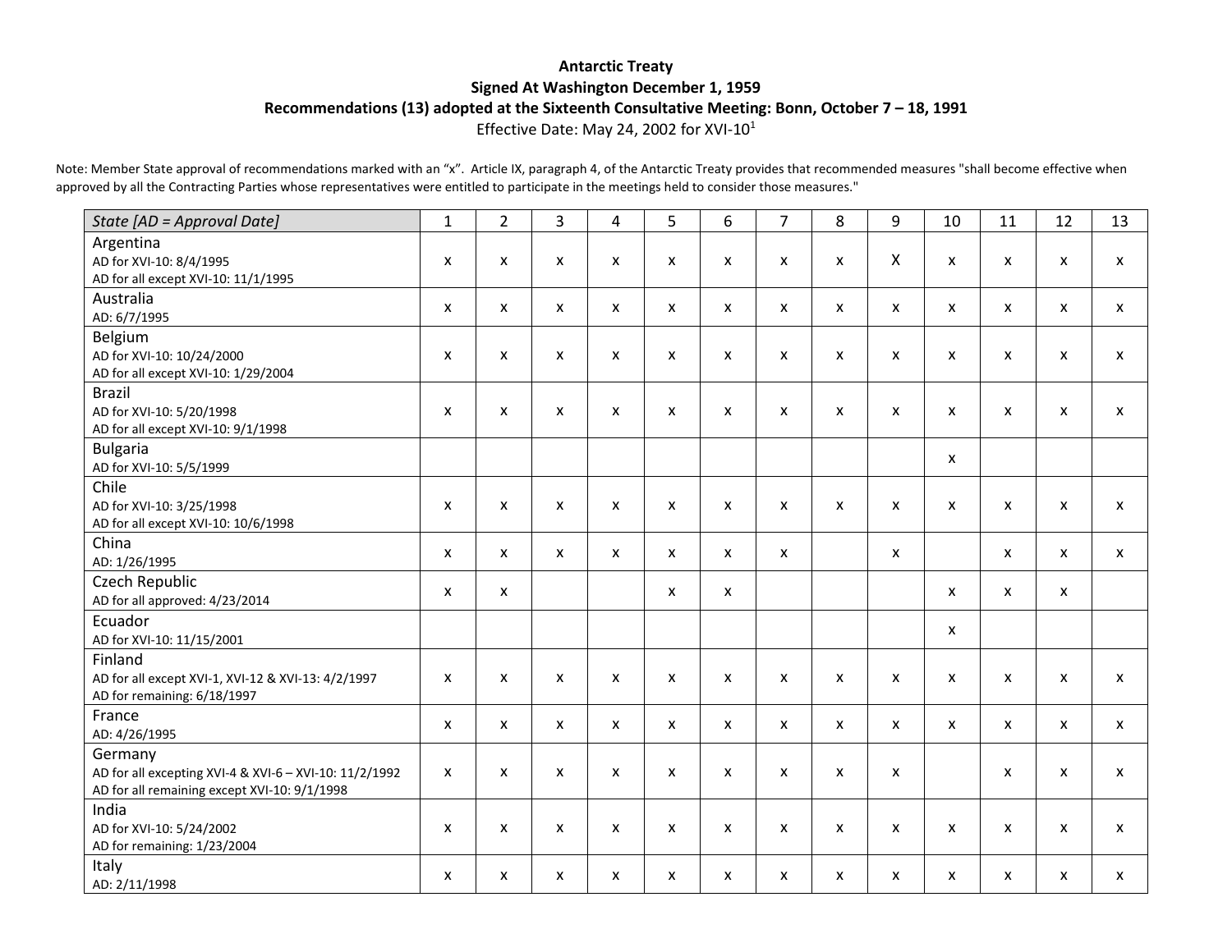#### **Antarctic Treaty Signed At Washington December 1, 1959 Recommendations (13) adopted at the Sixteenth Consultative Meeting: Bonn, October 7 – 18, 1991** Effective Date: May 24, 2002 for XVI-101

Note: Member State approval of recommendations marked with an "x". Article IX, paragraph 4, of the Antarctic Treaty provides that recommended measures "shall become effective when approved by all the Contracting Parties whose representatives were entitled to participate in the meetings held to consider those measures."

| State [AD = Approval Date]                                                                                        | $\mathbf{1}$              | $\overline{2}$            | 3                         | $\overline{4}$ | 5            | 6            | $\overline{7}$ | 8 | 9            | 10 | 11                        | 12                        | 13                        |
|-------------------------------------------------------------------------------------------------------------------|---------------------------|---------------------------|---------------------------|----------------|--------------|--------------|----------------|---|--------------|----|---------------------------|---------------------------|---------------------------|
| Argentina<br>AD for XVI-10: 8/4/1995<br>AD for all except XVI-10: 11/1/1995                                       | X                         | X                         | X                         | X              | X            | X            | X              | X | X            | X  | $\mathsf{x}$              | $\mathsf{x}$              | X                         |
| Australia<br>AD: 6/7/1995                                                                                         | X                         | $\mathsf{x}$              | X                         | X              | $\mathsf{x}$ | $\mathsf{x}$ | X              | X | X            | X  | $\mathsf{x}$              | $\mathsf{x}$              | $\boldsymbol{\mathsf{x}}$ |
| Belgium<br>AD for XVI-10: 10/24/2000<br>AD for all except XVI-10: 1/29/2004                                       | X                         | $\mathsf{x}$              | X                         | X              | $\mathsf{x}$ | X            | X              | X | X            | X  | $\mathsf{x}$              | $\boldsymbol{\mathsf{x}}$ | $\boldsymbol{\mathsf{x}}$ |
| <b>Brazil</b><br>AD for XVI-10: 5/20/1998<br>AD for all except XVI-10: 9/1/1998                                   | X                         | X                         | X                         | X              | X            | X            | X              | X | X            | X  | $\boldsymbol{\mathsf{x}}$ | X                         | X                         |
| <b>Bulgaria</b><br>AD for XVI-10: 5/5/1999                                                                        |                           |                           |                           |                |              |              |                |   |              | X  |                           |                           |                           |
| Chile<br>AD for XVI-10: 3/25/1998<br>AD for all except XVI-10: 10/6/1998                                          | X                         | X                         | X                         | X              | $\mathsf{x}$ | X            | X              | X | X            | X  | $\mathsf{x}$              | X                         | X                         |
| China<br>AD: 1/26/1995                                                                                            | X                         | X                         | X                         | X              | X            | X            | X              |   | X            |    | $\mathsf{x}$              | X                         | $\mathsf{x}$              |
| Czech Republic<br>AD for all approved: 4/23/2014                                                                  | X                         | X                         |                           |                | X            | X            |                |   |              | X  | $\boldsymbol{\mathsf{x}}$ | $\mathsf{x}$              |                           |
| Ecuador<br>AD for XVI-10: 11/15/2001                                                                              |                           |                           |                           |                |              |              |                |   |              | X  |                           |                           |                           |
| Finland<br>AD for all except XVI-1, XVI-12 & XVI-13: 4/2/1997<br>AD for remaining: 6/18/1997                      | $\mathsf{x}$              | $\boldsymbol{\mathsf{x}}$ | X                         | X              | $\mathsf{x}$ | X            | X              | X | X            | X  | $\mathsf{x}$              | X                         | $\mathsf{x}$              |
| France<br>AD: 4/26/1995                                                                                           | $\boldsymbol{\mathsf{x}}$ | $\mathsf{x}$              | $\boldsymbol{\mathsf{x}}$ | $\mathsf{x}$   | $\mathsf{x}$ | $\mathsf{x}$ | X              | X | $\mathsf{x}$ | X  | $\mathsf{x}$              | $\mathsf{x}$              | $\boldsymbol{\mathsf{x}}$ |
| Germany<br>AD for all excepting XVI-4 & XVI-6 - XVI-10: 11/2/1992<br>AD for all remaining except XVI-10: 9/1/1998 | X                         | X                         | X                         | X              | X            | X            | X              | X | X            |    | $\boldsymbol{\mathsf{x}}$ | X                         | X                         |
| India<br>AD for XVI-10: 5/24/2002<br>AD for remaining: 1/23/2004                                                  | X                         | $\mathsf{x}$              | $\boldsymbol{\mathsf{x}}$ | X              | $\mathsf{x}$ | X            | $\mathsf{x}$   | X | X            | X  | $\mathsf{x}$              | X                         | $\boldsymbol{\mathsf{x}}$ |
| Italy<br>AD: 2/11/1998                                                                                            | $\boldsymbol{\mathsf{x}}$ | X                         | X                         | X              | X            | X            | X              | X | X            | X  | $\mathsf{x}$              | $\mathsf{x}$              | X                         |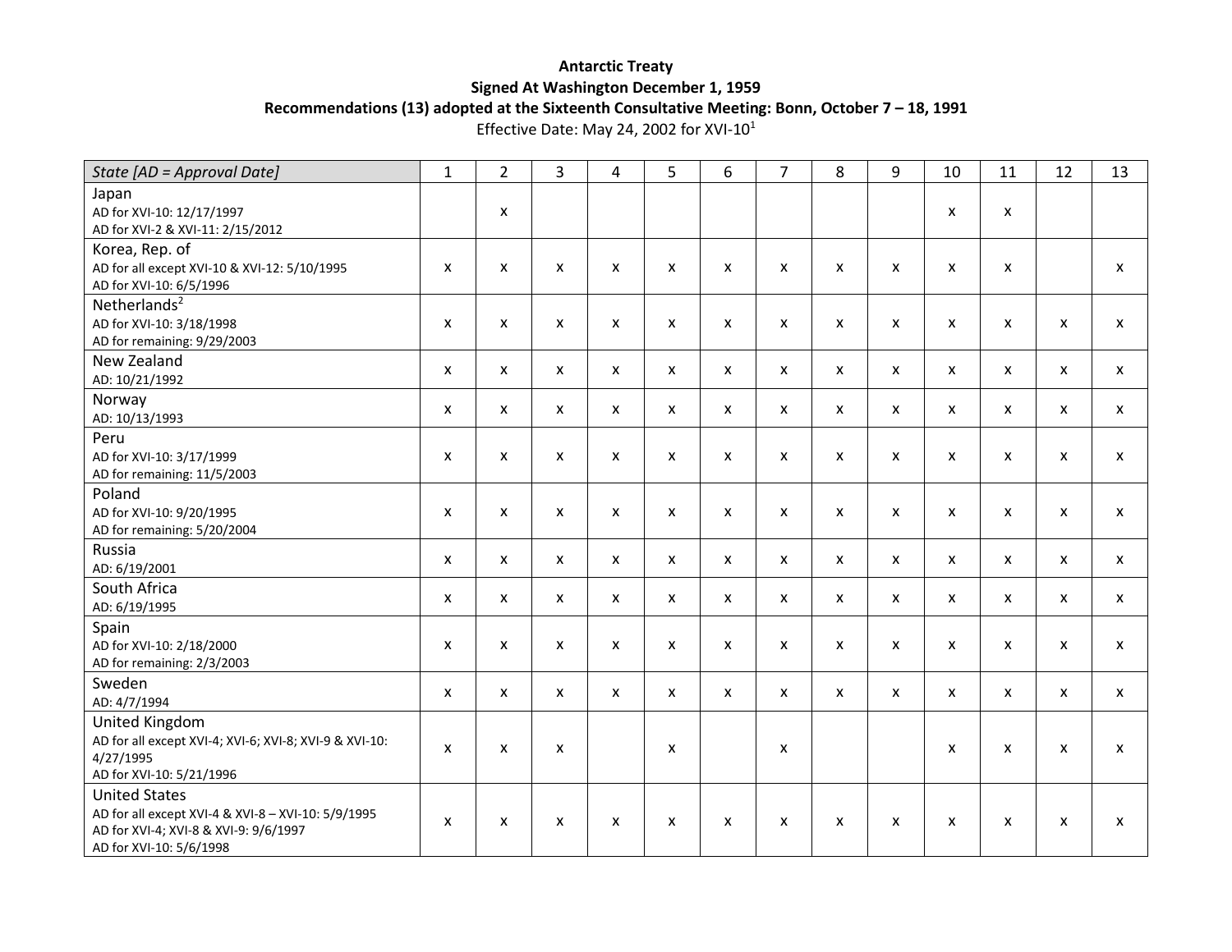## **Antarctic Treaty Signed At Washington December 1, 1959 Recommendations (13) adopted at the Sixteenth Consultative Meeting: Bonn, October 7 – 18, 1991**

Effective Date: May 24, 2002 for XVI-10<sup>1</sup>

| State [AD = Approval Date]                                    | 1                         | $\overline{2}$ | 3 | 4                         | 5            | 6            | $\overline{7}$ | 8            | 9            | 10           | 11           | 12                        | 13 |
|---------------------------------------------------------------|---------------------------|----------------|---|---------------------------|--------------|--------------|----------------|--------------|--------------|--------------|--------------|---------------------------|----|
| Japan                                                         |                           |                |   |                           |              |              |                |              |              |              |              |                           |    |
| AD for XVI-10: 12/17/1997<br>AD for XVI-2 & XVI-11: 2/15/2012 |                           | X              |   |                           |              |              |                |              |              | X            | X            |                           |    |
| Korea, Rep. of                                                |                           |                |   |                           |              |              |                |              |              |              |              |                           |    |
| AD for all except XVI-10 & XVI-12: 5/10/1995                  | $\boldsymbol{\mathsf{x}}$ | X              | X | X                         | X            | X            | X              | X            | X            | X            | X            |                           | X  |
| AD for XVI-10: 6/5/1996                                       |                           |                |   |                           |              |              |                |              |              |              |              |                           |    |
| Netherlands $2$                                               | X                         | X              | X | $\boldsymbol{\mathsf{x}}$ | X            | X            | X              | X            | X            | X            | $\mathsf{x}$ | X                         | X  |
| AD for XVI-10: 3/18/1998<br>AD for remaining: 9/29/2003       |                           |                |   |                           |              |              |                |              |              |              |              |                           |    |
| New Zealand                                                   |                           |                |   |                           |              |              |                |              |              |              |              |                           |    |
| AD: 10/21/1992                                                | X                         | X              | X | $\boldsymbol{\mathsf{x}}$ | X            | X            | X              | X            | X            | X            | $\mathsf{x}$ | X                         | X  |
| Norway                                                        |                           |                |   |                           |              |              |                |              |              |              |              |                           |    |
| AD: 10/13/1993                                                | X                         | X              | X | $\boldsymbol{\mathsf{x}}$ | $\mathsf{x}$ | $\mathsf{x}$ | X              | X            | X            | $\mathsf{x}$ | $\mathsf{x}$ | X                         | X  |
| Peru                                                          |                           |                |   |                           |              |              |                |              |              |              |              |                           |    |
| AD for XVI-10: 3/17/1999                                      | X                         | X              | X | $\boldsymbol{\mathsf{x}}$ | $\mathsf{x}$ | X            | X              | X            | X            | X            | X            | X                         | X  |
| AD for remaining: 11/5/2003                                   |                           |                |   |                           |              |              |                |              |              |              |              |                           |    |
| Poland                                                        |                           |                |   |                           |              |              | X              |              |              |              |              |                           |    |
| AD for XVI-10: 9/20/1995<br>AD for remaining: 5/20/2004       | X                         | X              | X | $\boldsymbol{\mathsf{x}}$ | $\mathsf{x}$ | X            |                | X            | X            | X            | $\mathsf{x}$ | X                         | X  |
| Russia                                                        |                           |                |   |                           |              |              |                |              |              |              |              |                           |    |
| AD: 6/19/2001                                                 | X                         | X              | X | $\mathsf{x}$              | $\mathsf{x}$ | $\mathsf{x}$ | X              | X            | $\mathsf{x}$ | X            | $\mathsf{x}$ | $\mathsf{x}$              | X  |
| South Africa                                                  |                           |                |   |                           |              |              |                |              |              |              |              |                           |    |
| AD: 6/19/1995                                                 | X                         | X              | X | $\mathsf{x}$              | $\mathsf{x}$ | $\mathsf{x}$ | X              | $\mathsf{x}$ | $\mathsf{x}$ | $\mathsf{x}$ | $\mathsf{x}$ | $\mathsf{x}$              | X  |
| Spain                                                         |                           |                |   |                           |              |              |                |              |              |              |              |                           |    |
| AD for XVI-10: 2/18/2000                                      | X                         | X              | X | $\boldsymbol{\mathsf{x}}$ | X            | X            | X              | X            | X            | X            | X            | X                         | X  |
| AD for remaining: 2/3/2003                                    |                           |                |   |                           |              |              |                |              |              |              |              |                           |    |
| Sweden<br>AD: 4/7/1994                                        | X                         | X              | X | $\mathsf{x}$              | X            | X            | X              | X            | X            | $\mathsf{x}$ | $\mathsf{x}$ | X                         | X  |
| United Kingdom                                                |                           |                |   |                           |              |              |                |              |              |              |              |                           |    |
| AD for all except XVI-4; XVI-6; XVI-8; XVI-9 & XVI-10:        |                           |                |   |                           |              |              |                |              |              |              |              |                           |    |
| 4/27/1995                                                     | X                         | X              | X |                           | X            |              | X              |              |              | X            | X            | $\boldsymbol{\mathsf{x}}$ | X  |
| AD for XVI-10: 5/21/1996                                      |                           |                |   |                           |              |              |                |              |              |              |              |                           |    |
| <b>United States</b>                                          |                           |                |   |                           |              |              |                |              |              |              |              |                           |    |
| AD for all except XVI-4 & XVI-8 - XVI-10: 5/9/1995            | $\boldsymbol{\mathsf{x}}$ | X              | X | $\mathsf{x}$              | X            | X            | X              | x            | x            | x            | X            | X                         | X  |
| AD for XVI-4; XVI-8 & XVI-9: 9/6/1997                         |                           |                |   |                           |              |              |                |              |              |              |              |                           |    |
| AD for XVI-10: 5/6/1998                                       |                           |                |   |                           |              |              |                |              |              |              |              |                           |    |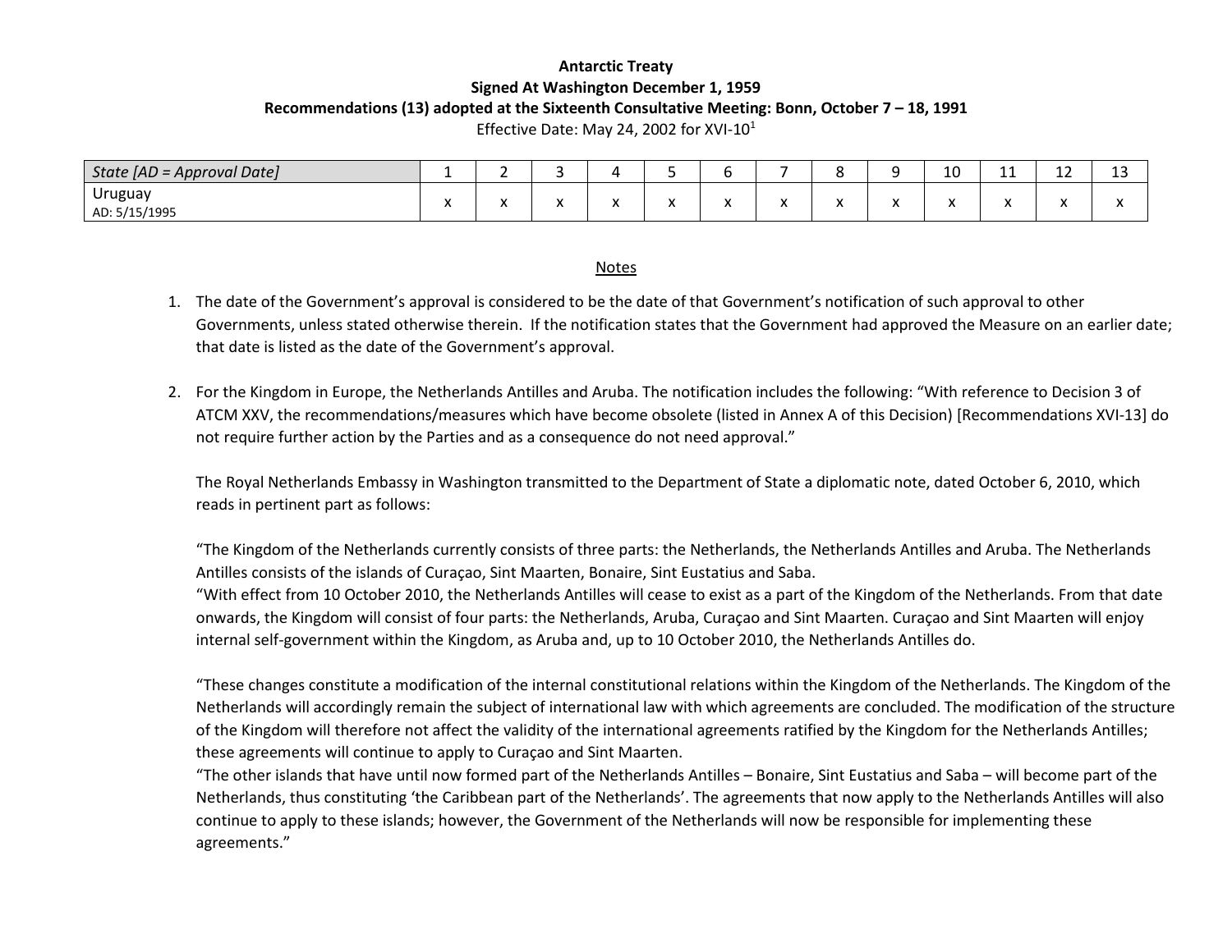# **Antarctic Treaty Signed At Washington December 1, 1959 Recommendations (13) adopted at the Sixteenth Consultative Meeting: Bonn, October 7 – 18, 1991**

Effective Date: May 24, 2002 for XVI-10 $1$ 

| State $[AD = Approval Date]$ | -         |          |         |          |           |                      |  |     | $\sim$<br>∸∼ | $\overline{\phantom{a}}$<br>-- | . .<br>-- | $\sim$<br>ᅩJ |
|------------------------------|-----------|----------|---------|----------|-----------|----------------------|--|-----|--------------|--------------------------------|-----------|--------------|
| Uruguay                      | $\cdot$   |          |         |          |           | $\ddot{\phantom{0}}$ |  | . . |              | $\cdot$                        |           |              |
| AD: 5/15/1995                | $\lambda$ | $\cdots$ | $\cdot$ | $\cdots$ | $\lambda$ | $\mathbf{v}$         |  | "   |              | $\lambda$                      | $\cdots$  |              |

#### Notes

- 1. The date of the Government's approval is considered to be the date of that Government's notification of such approval to other Governments, unless stated otherwise therein. If the notification states that the Government had approved the Measure on an earlier date; that date is listed as the date of the Government's approval.
- 2. For the Kingdom in Europe, the Netherlands Antilles and Aruba. The notification includes the following: "With reference to Decision 3 of ATCM XXV, the recommendations/measures which have become obsolete (listed in Annex A of this Decision) [Recommendations XVI-13] do not require further action by the Parties and as a consequence do not need approval."

The Royal Netherlands Embassy in Washington transmitted to the Department of State a diplomatic note, dated October 6, 2010, which reads in pertinent part as follows:

"The Kingdom of the Netherlands currently consists of three parts: the Netherlands, the Netherlands Antilles and Aruba. The Netherlands Antilles consists of the islands of Curaçao, Sint Maarten, Bonaire, Sint Eustatius and Saba.

"With effect from 10 October 2010, the Netherlands Antilles will cease to exist as a part of the Kingdom of the Netherlands. From that date onwards, the Kingdom will consist of four parts: the Netherlands, Aruba, Curaçao and Sint Maarten. Curaçao and Sint Maarten will enjoy internal self-government within the Kingdom, as Aruba and, up to 10 October 2010, the Netherlands Antilles do.

"These changes constitute a modification of the internal constitutional relations within the Kingdom of the Netherlands. The Kingdom of the Netherlands will accordingly remain the subject of international law with which agreements are concluded. The modification of the structure of the Kingdom will therefore not affect the validity of the international agreements ratified by the Kingdom for the Netherlands Antilles; these agreements will continue to apply to Curaçao and Sint Maarten.

"The other islands that have until now formed part of the Netherlands Antilles – Bonaire, Sint Eustatius and Saba – will become part of the Netherlands, thus constituting 'the Caribbean part of the Netherlands'. The agreements that now apply to the Netherlands Antilles will also continue to apply to these islands; however, the Government of the Netherlands will now be responsible for implementing these agreements."